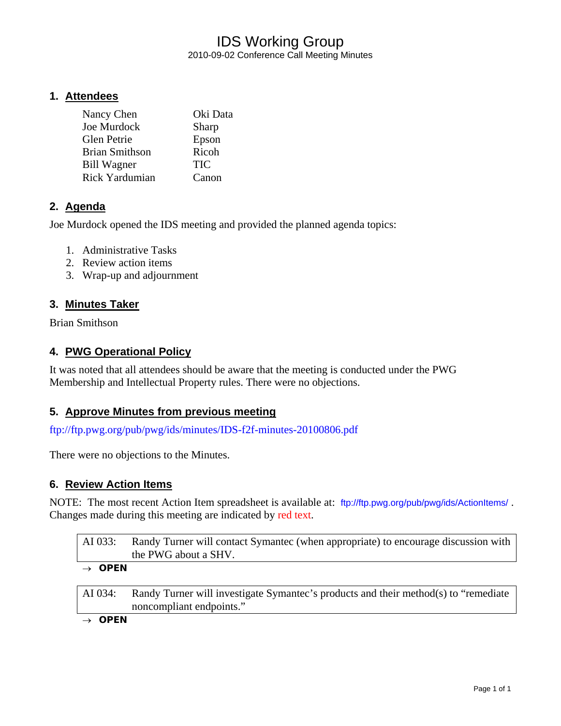# IDS Working Group 2010-09-02 Conference Call Meeting Minutes

### **1. Attendees**

| Nancy Chen            | Oki Data |
|-----------------------|----------|
| Joe Murdock           | Sharp    |
| Glen Petrie           | Epson    |
| <b>Brian Smithson</b> | Ricoh    |
| <b>Bill Wagner</b>    | TIC      |
| <b>Rick Yardumian</b> | Canon    |

# **2. Agenda**

Joe Murdock opened the IDS meeting and provided the planned agenda topics:

- 1. Administrative Tasks
- 2. Review action items
- 3. Wrap-up and adjournment

# **3. Minutes Taker**

Brian Smithson

# **4. PWG Operational Policy**

It was noted that all attendees should be aware that the meeting is conducted under the PWG Membership and Intellectual Property rules. There were no objections.

# **5. Approve Minutes from previous meeting**

<ftp://ftp.pwg.org/pub/pwg/ids/minutes/IDS-f2f-minutes-20100806.pdf>

There were no objections to the Minutes.

# **6. Review Action Items**

NOTE: The most recent Action Item spreadsheet is available at: <ftp://ftp.pwg.org/pub/pwg/ids/ActionItems/>. Changes made during this meeting are indicated by red text.

| AI 033:            | Randy Turner will contact Symantec (when appropriate) to encourage discussion with |
|--------------------|------------------------------------------------------------------------------------|
|                    | the PWG about a SHV.                                                               |
| $\rightarrow$ OPEN |                                                                                    |
|                    |                                                                                    |

AI 034: Randy Turner will investigate Symantec's products and their method(s) to "remediate noncompliant endpoints."

#### → *OPEN*